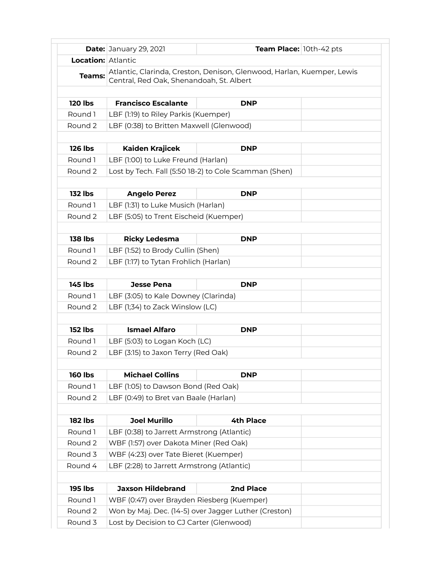|                           | <b>Date: January 29, 2021</b>                                                                                      | Team Place: 10th-42 pts |  |  |  |
|---------------------------|--------------------------------------------------------------------------------------------------------------------|-------------------------|--|--|--|
| <b>Location: Atlantic</b> |                                                                                                                    |                         |  |  |  |
| Teams:                    | Atlantic, Clarinda, Creston, Denison, Glenwood, Harlan, Kuemper, Lewis<br>Central, Red Oak, Shenandoah, St. Albert |                         |  |  |  |
|                           |                                                                                                                    |                         |  |  |  |
| <b>120 lbs</b>            | <b>Francisco Escalante</b>                                                                                         | <b>DNP</b>              |  |  |  |
| Round 1                   | LBF (1:19) to Riley Parkis (Kuemper)                                                                               |                         |  |  |  |
| Round 2                   | LBF (0:38) to Britten Maxwell (Glenwood)                                                                           |                         |  |  |  |
| <b>126 lbs</b>            | Kaiden Krajicek                                                                                                    | <b>DNP</b>              |  |  |  |
| Round 1                   | LBF (1:00) to Luke Freund (Harlan)                                                                                 |                         |  |  |  |
| Round 2                   | Lost by Tech. Fall (5:50 18-2) to Cole Scamman (Shen)                                                              |                         |  |  |  |
|                           |                                                                                                                    |                         |  |  |  |
| <b>132 lbs</b>            | <b>Angelo Perez</b>                                                                                                | <b>DNP</b>              |  |  |  |
| Round 1                   | LBF (1:31) to Luke Musich (Harlan)                                                                                 |                         |  |  |  |
| Round 2                   | LBF (5:05) to Trent Eischeid (Kuemper)                                                                             |                         |  |  |  |
| <b>138 lbs</b>            | <b>Ricky Ledesma</b>                                                                                               | <b>DNP</b>              |  |  |  |
| Round 1                   | LBF (1:52) to Brody Cullin (Shen)                                                                                  |                         |  |  |  |
| Round 2                   | LBF (1:17) to Tytan Frohlich (Harlan)                                                                              |                         |  |  |  |
| <b>145 lbs</b>            | <b>Jesse Pena</b>                                                                                                  | <b>DNP</b>              |  |  |  |
| Round 1                   | LBF (3:05) to Kale Downey (Clarinda)                                                                               |                         |  |  |  |
| Round 2                   | LBF (1;34) to Zack Winslow (LC)                                                                                    |                         |  |  |  |
|                           |                                                                                                                    |                         |  |  |  |
| <b>152 lbs</b>            | <b>Ismael Alfaro</b>                                                                                               | <b>DNP</b>              |  |  |  |
| Round 1                   | LBF (5:03) to Logan Koch (LC)                                                                                      |                         |  |  |  |
| Round 2                   | LBF (3:15) to Jaxon Terry (Red Oak)                                                                                |                         |  |  |  |
| <b>160 lbs</b>            | <b>Michael Collins</b>                                                                                             | <b>DNP</b>              |  |  |  |
| Round 1                   | LBF (1:05) to Dawson Bond (Red Oak)                                                                                |                         |  |  |  |
| Round 2                   | LBF (0:49) to Bret van Baale (Harlan)                                                                              |                         |  |  |  |
|                           |                                                                                                                    |                         |  |  |  |
| <b>182 lbs</b>            | <b>Joel Murillo</b>                                                                                                | <b>4th Place</b>        |  |  |  |
| Round 1                   | LBF (0:38) to Jarrett Armstrong (Atlantic)                                                                         |                         |  |  |  |
| Round 2                   | WBF (1:57) over Dakota Miner (Red Oak)                                                                             |                         |  |  |  |
| Round 3                   | WBF (4:23) over Tate Bieret (Kuemper)                                                                              |                         |  |  |  |
| Round 4                   | LBF (2:28) to Jarrett Armstrong (Atlantic)                                                                         |                         |  |  |  |
| <b>195 lbs</b>            | <b>Jaxson Hildebrand</b>                                                                                           | 2nd Place               |  |  |  |
| Round 1                   | WBF (0:47) over Brayden Riesberg (Kuemper)                                                                         |                         |  |  |  |
| Round 2                   | Won by Maj. Dec. (14-5) over Jagger Luther (Creston)                                                               |                         |  |  |  |
| Round 3                   | Lost by Decision to CJ Carter (Glenwood)                                                                           |                         |  |  |  |
|                           |                                                                                                                    |                         |  |  |  |